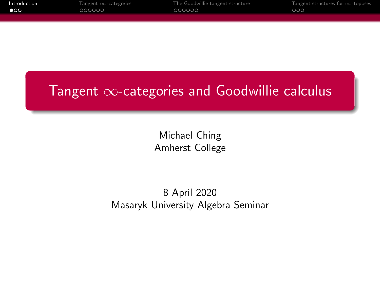<span id="page-0-0"></span>

| Introduction | Tangent $\infty$ -categories | The Goodwillie tangent structure | Tangent structures for $\infty$ -toposes |
|--------------|------------------------------|----------------------------------|------------------------------------------|
| $\bullet$ 00 | 000000                       | 000000                           | .000                                     |
|              |                              |                                  |                                          |

# Tangent ∞-categories and Goodwillie calculus

Michael Ching Amherst College

8 April 2020 Masaryk University Algebra Seminar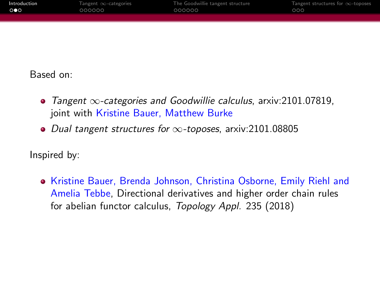| Introduction | Tangent $\infty$ -categories | The Goodwillie tangent structure | Tangent structures for $\infty$ -toposes |
|--------------|------------------------------|----------------------------------|------------------------------------------|
| ∙੦●੦         | 000000                       | 000000                           | 000                                      |
|              |                              |                                  |                                          |

Based on:

- Tangent ∞-categories and Goodwillie calculus, arxiv:2101.07819, joint with Kristine Bauer, Matthew Burke
- Dual tangent structures for  $\infty$ -toposes, arxiv:2101.08805

Inspired by:

• Kristine Bauer, Brenda Johnson, Christina Osborne, Emily Riehl and Amelia Tebbe, Directional derivatives and higher order chain rules for abelian functor calculus, Topology Appl. 235 (2018)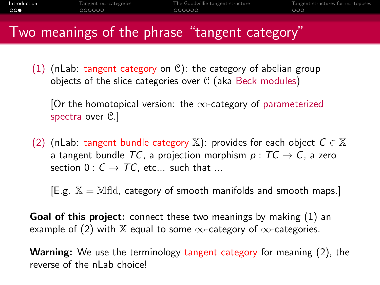# Two meanings of the phrase "tangent category"

(1) (nLab: tangent category on  $\mathcal{C}$ ): the category of abelian group objects of the slice categories over  $C$  (aka Beck modules)

[Or the homotopical version: the  $\infty$ -category of parameterized spectra over  $\mathcal{C}.$ 

(2) (nLab: tangent bundle category X): provides for each object  $C \in \mathbb{X}$ a tangent bundle TC, a projection morphism  $p: TC \rightarrow C$ , a zero section  $0: C \rightarrow TC$ , etc... such that ...

 $[E.g. X = Mfd, category of smooth manifolds and smooth maps.]$ 

Goal of this project: connect these two meanings by making (1) an example of (2) with X equal to some  $\infty$ -category of  $\infty$ -categories.

Warning: We use the terminology tangent category for meaning (2), the reverse of the nLab choice!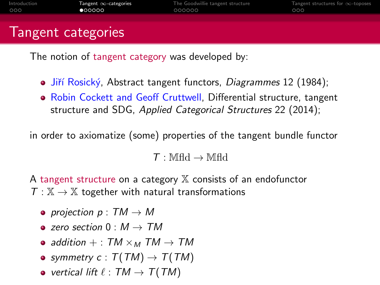## <span id="page-3-0"></span>Tangent categories

The notion of tangent category was developed by:

- Jiří Rosický, Abstract tangent functors, Diagrammes 12 (1984);
- Robin Cockett and Geoff Cruttwell, Differential structure, tangent structure and SDG, Applied Categorical Structures 22 (2014);

in order to axiomatize (some) properties of the tangent bundle functor

 $\mathcal{T}: \mathbb{M}$ fld  $\rightarrow \mathbb{M}$ fld

A tangent structure on a category  $X$  consists of an endofunctor  $T : \mathbb{X} \to \mathbb{X}$  together with natural transformations

- projection  $p: TM \rightarrow M$
- $\bullet$  zero section  $0: M \rightarrow TM$
- addition  $+$  : TM  $\times_M$  TM  $\rightarrow TM$
- symmetry  $c : T(TM) \rightarrow T(TM)$
- vertical lift  $\ell : TM \rightarrow T(TM)$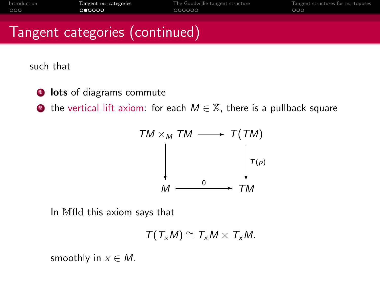# Tangent categories (continued)

such that

**1** lots of diagrams commute

**2** the vertical lift axiom: for each  $M \in \mathbb{X}$ , there is a pullback square



In Mfld this axiom says that

$$
T(T_xM)\cong T_xM\times T_xM.
$$

smoothly in  $x \in M$ .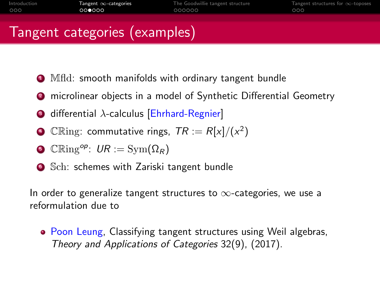# Tangent categories (examples)

- **1** Mfld: smooth manifolds with ordinary tangent bundle
- <sup>2</sup> microlinear objects in a model of Synthetic Differential Geometry
- $\bullet$  differential  $\lambda$ -calculus [Ehrhard-Regnier]
- $\bullet$  C $\mathbb{R}$ ing: commutative rings,  $\mathcal{TR} := R[x]/(x^2)$
- $\bullet$  CRing<sup>op</sup>:  $UR := \text{Sym}(\Omega_R)$
- **6** Sch: schemes with Zariski tangent bundle

In order to generalize tangent structures to  $\infty$ -categories, we use a reformulation due to

• Poon Leung, Classifying tangent structures using Weil algebras, Theory and Applications of Categories 32(9), (2017).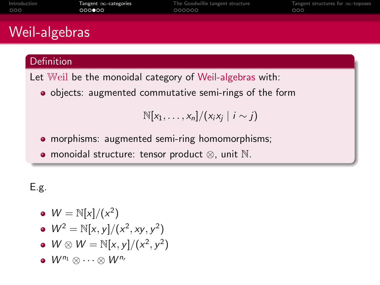| Introduction<br>000 | $l$ angent $\infty$ -categories<br>000000 | The Goodwillie tangent structure<br>000000 | langent structures for $\infty$ -toposes<br>000 |
|---------------------|-------------------------------------------|--------------------------------------------|-------------------------------------------------|
|                     |                                           |                                            |                                                 |
| Weil-algebras       |                                           |                                            |                                                 |
|                     |                                           |                                            |                                                 |
| Definition          |                                           |                                            |                                                 |

Let Weil be the monoidal category of Weil-algebras with:

objects: augmented commutative semi-rings of the form

 $\mathbb{N}[x_1,\ldots,x_n]/(x_ix_j \mid i \sim j)$ 

- morphisms: augmented semi-ring homomorphisms;
- monoidal structure: tensor product ⊗, unit N.

#### E.g.

- $W = \mathbb{N}[x]/(x^2)$
- $W^2 = \mathbb{N}[x, y]/(x^2, xy, y^2)$
- $W \otimes W = \mathbb{N}[x, y]/(x^2, y^2)$
- $\bullet \ W^{n_1} \otimes \cdots \otimes M^{n_r}$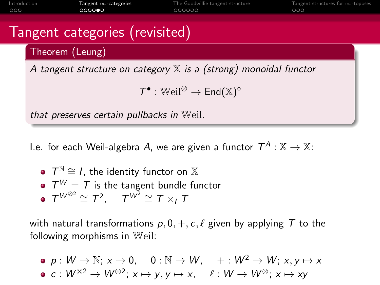

I.e. for each Weil-algebra A, we are given a functor  $\mathcal{T}^A:\mathbb{X}\rightarrow \mathbb{X}$ :

\n- $$
T^{\mathbb{N}} \cong I
$$
, the identity functor on  $\mathbb{X}$
\n- $T^W = T$  is the tangent bundle functor
\n- $T^{W^{\otimes 2}} \cong T^2$ ,  $T^{W^2} \cong T \times_I T$
\n

with natural transformations  $p, 0, +, c, \ell$  given by applying T to the following morphisms in Weil:

$$
\begin{array}{lll}\n\bullet & p: W \to \mathbb{N}; x \mapsto 0, \quad 0: \mathbb{N} \to W, \quad +: W^2 \to W; x, y \mapsto x \\
\bullet & c: W^{\otimes 2} \to W^{\otimes 2}; x \mapsto y, y \mapsto x, \quad \ell: W \to W^{\otimes}; x \mapsto xy\n\end{array}
$$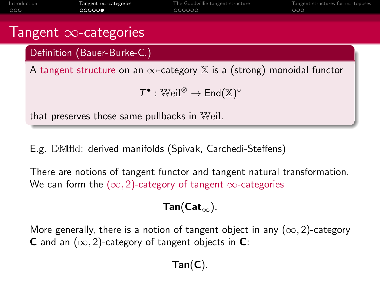

E.g. DMfld: derived manifolds (Spivak, Carchedi-Steffens)

There are notions of tangent functor and tangent natural transformation. We can form the  $(\infty, 2)$ -category of tangent  $\infty$ -categories

#### $Tan(Cat_{\infty}).$

More generally, there is a notion of tangent object in any  $(\infty, 2)$ -category **C** and an  $(\infty, 2)$ -category of tangent objects in **C**:

## $Tan(C).$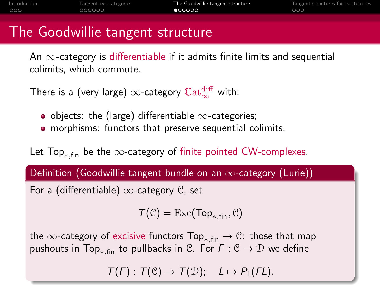# <span id="page-9-0"></span>The Goodwillie tangent structure

An  $\infty$ -category is differentiable if it admits finite limits and sequential colimits, which commute.

There is a (very large)  $\infty$ -category  $\mathbb{C}\mathrm{at}^{\text{diff}}_{\infty}$  with:

- o objects: the (large) differentiable  $\infty$ -categories;
- morphisms: functors that preserve sequential colimits.

Let Top<sub>∗,fin</sub> be the ∞-category of finite pointed CW-complexes.

Definition (Goodwillie tangent bundle on an  $\infty$ -category (Lurie))

For a (differentiable)  $\infty$ -category C, set

 $T(\mathcal{C}) = \text{Exc}(\text{Top}_{\ast \text{ fin}}, \mathcal{C})$ 

the  $\infty$ -category of excisive functors Top<sub>\* fin</sub>  $\rightarrow \mathcal{C}$ : those that map pushouts in Top<sub>\*,fin</sub> to pullbacks in C. For  $F: \mathcal{C} \to \mathcal{D}$  we define

 $T(F)$ :  $T(\mathcal{C}) \rightarrow T(\mathcal{D})$ ;  $L \mapsto P_1(FL)$ .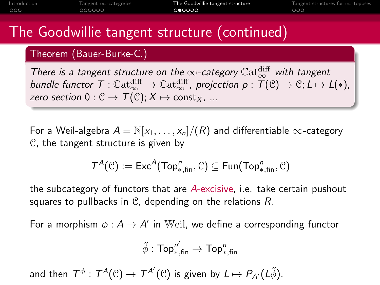# The Goodwillie tangent structure (continued)

#### Theorem (Bauer-Burke-C.)

There is a tangent structure on the  $\infty$ -category  $\mathbb{C}{\rm at}^{\rm diff}_{\infty}$  with tangent bundle functor  $\mathcal{T}:\mathbb{C}\textup{at}^{\textup{diff}}_{\infty}\to \mathbb{C}\textup{at}^{\textup{diff}}_{\infty}$ , projection  $p:\mathcal{T}(\mathbb{C})\to \mathbb{C};$   $L\mapsto L(*)$ , zero section  $0: \mathcal{C} \to \mathcal{T}(\mathcal{C}); X \mapsto \text{const}_X$ , ...

For a Weil-algebra  $A = \mathbb{N}[x_1, \ldots, x_n]/(R)$  and differentiable  $\infty$ -category C, the tangent structure is given by

$$
\mathcal{T}^{\mathcal{A}}(\mathcal{C}):=\mathsf{Exc}^{\mathcal{A}}(\mathsf{Top}_{*,\mathsf{fin}}^n,\mathcal{C})\subseteq \mathsf{Fun}(\mathsf{Top}_{*,\mathsf{fin}}^n,\mathcal{C})
$$

the subcategory of functors that are A-excisive, i.e. take certain pushout squares to pullbacks in  $C$ , depending on the relations  $R$ .

For a morphism  $\phi : A \to A'$  in Weil, we define a corresponding functor

$$
\tilde{\phi}:\mathsf{Top}^{n'}_{*,\mathsf{fin}}\rightarrow \mathsf{Top}^n_{*,\mathsf{fin}}
$$

and then  $\mathcal T^\phi:\mathcal T^\mathcal A(\mathcal C)\to \mathcal T^{\mathcal A'}(\mathcal C)$  is given by  $L\mapsto P_{\mathcal A'}(L\tilde\phi).$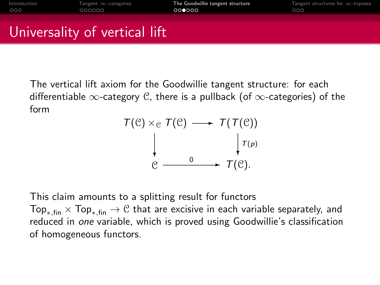# Universality of vertical lift

The vertical lift axiom for the Goodwillie tangent structure: for each differentiable  $\infty$ -category C, there is a pullback (of  $\infty$ -categories) of the form

$$
\begin{array}{ccc}\nT(\mathcal{C}) \times_{\mathcal{C}} & T(\mathcal{C}) & \longrightarrow & \mathcal{T}(\mathcal{T}(\mathcal{C})) \\
\downarrow & & \downarrow \tau_{(p)} \\
\mathcal{C} & \longrightarrow & \mathcal{T}(\mathcal{C}).\n\end{array}
$$

This claim amounts to a splitting result for functors  $Top_{*,fin} \times Top_{*,fin} \rightarrow \mathcal{C}$  that are excisive in each variable separately, and reduced in one variable, which is proved using Goodwillie's classification of homogeneous functors.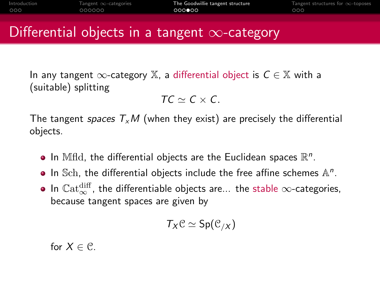# Differential objects in a tangent  $\infty$ -category

In any tangent  $\infty$ -category X, a differential object is  $C \in \mathbb{X}$  with a (suitable) splitting

$$
\mathcal{TC} \simeq \mathcal{C} \times \mathcal{C}.
$$

The tangent spaces  $T_xM$  (when they exist) are precisely the differential objects.

- In Mfld, the differential objects are the Euclidean spaces  $\mathbb{R}^n$ .
- In Sch, the differential objects include the free affine schemes  $\mathbb{A}^n$ .
- In  $\mathbb{C}\mathrm{at}^{\text{diff}}_{\infty}$ , the differentiable objects are... the stable  $\infty$ -categories, because tangent spaces are given by

$$
T_X\mathcal{C}\simeq \mathsf{Sp}(\mathcal{C}_{/X})
$$

for  $X \in \mathcal{C}$ .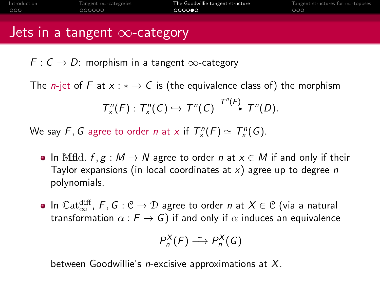| Introduction | Tangent $\infty$ -categories | The Goodwillie tangent structure | Tangent structures for $\infty$ -toposes |
|--------------|------------------------------|----------------------------------|------------------------------------------|
| 000          | 000000                       | 000000                           | 000                                      |
|              |                              |                                  |                                          |

## Jets in a tangent  $\infty$ -category

 $F: C \to D$ : morphism in a tangent  $\infty$ -category

The *n*-jet of F at  $x : * \to C$  is (the equivalence class of) the morphism  $T_x^n(F) : T_x^n(C) \hookrightarrow T^n(C) \xrightarrow{T^n(F)} T^n(D).$ 

We say F, G agree to order n at x if  $T_x^n(F) \simeq T_x^n(G)$ .

- In Mfld,  $f, g : M \to N$  agree to order n at  $x \in M$  if and only if their Taylor expansions (in local coordinates at  $x$ ) agree up to degree n polynomials.
- In  $\mathbb{C}{\rm at}^{\rm diff}_{\infty}$ ,  ${\mathsf F}, {\mathsf G}: {\mathfrak C} \to {\mathfrak D}$  agree to order  $n$  at  $X \in {\mathfrak C}$  (via a natural transformation  $\alpha : F \to G$ ) if and only if  $\alpha$  induces an equivalence

$$
P_n^X(F) \stackrel{\sim}{\longrightarrow} P_n^X(G)
$$

between Goodwillie's *n*-excisive approximations at  $X$ .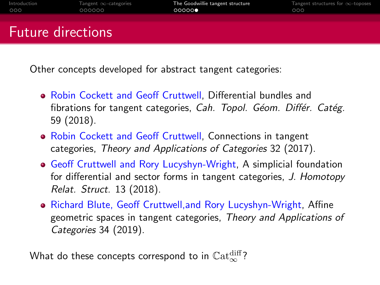| Introduction | Tangent $\infty$ -categories | The Goodwillie tangent structure | Tangent structures for $\infty$ -toposes |
|--------------|------------------------------|----------------------------------|------------------------------------------|
| 000          | 000000                       | 00000                            | 000                                      |
|              |                              |                                  |                                          |
|              |                              |                                  |                                          |
|              | <b>Future directions</b>     |                                  |                                          |
|              |                              |                                  |                                          |

Other concepts developed for abstract tangent categories:

- Robin Cockett and Geoff Cruttwell, Differential bundles and fibrations for tangent categories, Cah. Topol. Géom. Différ. Catég. 59 (2018).
- Robin Cockett and Geoff Cruttwell, Connections in tangent categories, Theory and Applications of Categories 32 (2017).
- Geoff Cruttwell and Rory Lucyshyn-Wright, A simplicial foundation for differential and sector forms in tangent categories, J. Homotopy Relat. Struct. 13 (2018).
- Richard Blute, Geoff Cruttwell, and Rory Lucyshyn-Wright, Affine geometric spaces in tangent categories, Theory and Applications of Categories 34 (2019).

What do these concepts correspond to in  $\mathbb{C}\mathrm{at}^{\text{diff}}_{\infty}$ ?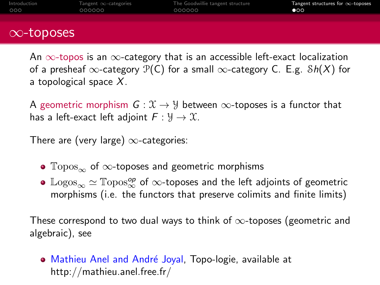<span id="page-15-0"></span>

| Introduction<br>000 | Tangent $\infty$ -categories<br>000000 | The Goodwillie tangent structure<br>000000 | Tangent structures for $\infty$ -toposes<br>$\bullet$ 00 |
|---------------------|----------------------------------------|--------------------------------------------|----------------------------------------------------------|
|                     |                                        |                                            |                                                          |
| $\infty$ -toposes   |                                        |                                            |                                                          |

An  $\infty$ -topos is an  $\infty$ -category that is an accessible left-exact localization of a presheaf  $\infty$ -category  $\mathcal{P}(C)$  for a small  $\infty$ -category C. E.g.  $\mathcal{S}h(X)$  for a topological space  $X$ .

A geometric morphism  $G: \mathcal{X} \to \mathcal{Y}$  between  $\infty$ -toposes is a functor that has a left-exact left adjoint  $F: \mathcal{Y} \to \mathcal{X}$ .

There are (very large)  $\infty$ -categories:

- $\text{Topos}_{\infty}$  of  $\infty$ -toposes and geometric morphisms
- $\mathbb{L}$ ogos $_\infty \simeq \mathbb{T}$ opos $_\infty^{op}$  of  $\infty$ -toposes and the left adjoints of geometric morphisms (i.e. the functors that preserve colimits and finite limits)

These correspond to two dual ways to think of  $\infty$ -toposes (geometric and algebraic), see

• Mathieu Anel and André Joyal, Topo-logie, available at http://mathieu.anel.free.fr/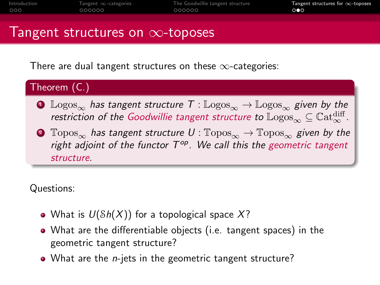## Tangent structures on  $\infty$ -toposes

There are dual tangent structures on these  $\infty$ -categories:



- **1** Logos<sub>∞</sub> has tangent structure  $T : \mathbb{L}$ ogos<sub>∞</sub>  $\rightarrow$  Logos<sub>∞</sub> given by the restriction of the Goodwillie tangent structure to  $\mathbb{L} {\rm ogos}_\infty \subseteq \mathbb{C}{\rm at}^{\rm diff}_\infty$ .
- **2**  $\text{Topos}_{\infty}$  has tangent structure  $U : \text{Topos}_{\infty} \to \text{Topos}_{\infty}$  given by the right adjoint of the functor  $T^{op}$ . We call this the geometric tangent structure.

Questions:

- What is  $U(\delta h(X))$  for a topological space X?
- What are the differentiable objects (i.e. tangent spaces) in the geometric tangent structure?
- What are the *n*-jets in the geometric tangent structure?